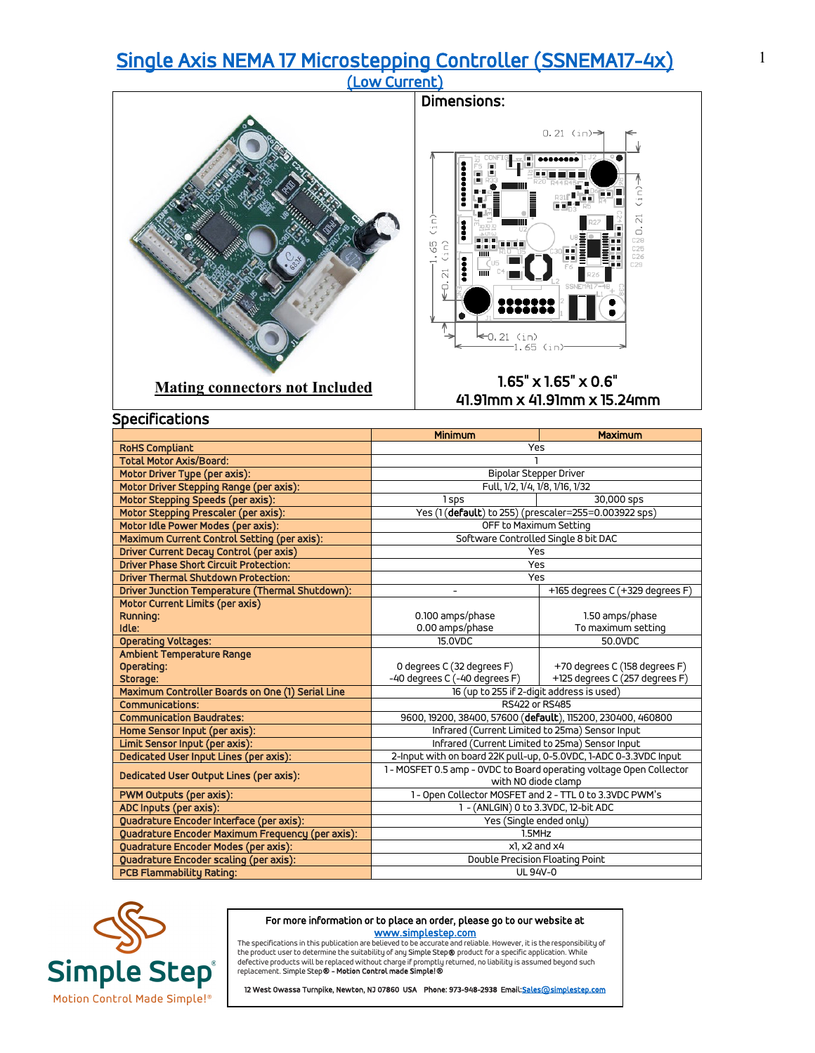## [Single Axis NEMA 17 Microstepping Controller \(SSNEMA17-4x\) \(Low Current\)](https://simplestep.com/product/ssnema17-4x/)



|                                                  | <b>Minimum</b>                                                      | <b>Maximum</b>                  |  |
|--------------------------------------------------|---------------------------------------------------------------------|---------------------------------|--|
| <b>RoHS Compliant</b>                            | Yes                                                                 |                                 |  |
| <b>Total Motor Axis/Board:</b>                   |                                                                     |                                 |  |
| Motor Driver Type (per axis):                    | Bipolar Stepper Driver                                              |                                 |  |
| Motor Driver Stepping Range (per axis):          | Full, 1/2, 1/4, 1/8, 1/16, 1/32                                     |                                 |  |
| Motor Stepping Speeds (per axis):                | 1 sps                                                               | 30,000 sps                      |  |
| Motor Stepping Prescaler (per axis):             | Yes (1(default) to 255) (prescaler=255=0.003922 sps)                |                                 |  |
| Motor Idle Power Modes (per axis):               | OFF to Maximum Setting                                              |                                 |  |
| Maximum Current Control Setting (per axis):      | Software Controlled Single 8 bit DAC                                |                                 |  |
| <b>Driver Current Decay Control (per axis)</b>   | Yes                                                                 |                                 |  |
| <b>Driver Phase Short Circuit Protection:</b>    | Yes                                                                 |                                 |  |
| <b>Driver Thermal Shutdown Protection:</b>       | Yes                                                                 |                                 |  |
| Driver Junction Temperature (Thermal Shutdown):  | $\overline{\phantom{a}}$                                            | +165 degrees C (+329 degrees F) |  |
| Motor Current Limits (per axis)                  |                                                                     |                                 |  |
| <b>Running:</b>                                  | 0.100 amps/phase                                                    | 1.50 amps/phase                 |  |
| Idle:                                            | 0.00 amps/phase                                                     | To maximum setting              |  |
| <b>Operating Voltages:</b>                       | 15.0VDC                                                             | 50.0VDC                         |  |
| Ambient Temperature Range                        |                                                                     |                                 |  |
| Operating:                                       | 0 degrees C (32 degrees F)                                          | +70 degrees C (158 degrees F)   |  |
| Storage:                                         | -40 degrees C (-40 degrees F)                                       | +125 degrees C (257 degrees F)  |  |
| Maximum Controller Boards on One (1) Serial Line | 16 (up to 255 if 2-digit address is used)                           |                                 |  |
| <b>Communications:</b>                           | RS422 or RS485                                                      |                                 |  |
| <b>Communication Baudrates:</b>                  | 9600, 19200, 38400, 57600 (default), 115200, 230400, 460800         |                                 |  |
| Home Sensor Input (per axis):                    | Infrared (Current Limited to 25ma) Sensor Input                     |                                 |  |
| Limit Sensor Input (per axis):                   | Infrared (Current Limited to 25ma) Sensor Input                     |                                 |  |
| Dedicated User Input Lines (per axis):           | 2-Input with on board 22K pull-up, 0-5.0VDC, 1-ADC 0-3.3VDC Input   |                                 |  |
| Dedicated User Output Lines (per axis):          | 1 - MOSFET 0.5 amp - OVDC to Board operating voltage Open Collector |                                 |  |
|                                                  | with NO diode clamp                                                 |                                 |  |
| PWM Outputs (per axis):                          | 1 - Open Collector MOSFET and 2 - TTL 0 to 3.3VDC PWM's             |                                 |  |
| ADC Inputs (per axis):                           | 1 - (ANLGIN) 0 to 3.3VDC, 12-bit ADC                                |                                 |  |
| Quadrature Encoder Interface (per axis):         | Yes (Single ended only)                                             |                                 |  |
| Quadrature Encoder Maximum Frequency (per axis): | 1.5MHz                                                              |                                 |  |
| Quadrature Encoder Modes (per axis):             | $x$ l. $x$ 2 and $x$ 4                                              |                                 |  |
| Quadrature Encoder scaling (per axis):           | Double Precision Floating Point                                     |                                 |  |
| <b>PCB Flammability Rating:</b>                  | <b>UL 94V-0</b>                                                     |                                 |  |



## For more information or to place an order, please go to our website at

www.s<mark>implestep.com</mark><br>The specifications in this publication are believed to be accurate and reliable. However, it is the responsibility of<br>the product user to determine the suitability of any Simple Step**®** product for a s replacement. Simple Step® - Motion Control made Simple!®

12 West Owassa Turnpike, Newton, NJ 07860 USA Phone: 973-948-2938 Email: Sales@simplestep.com